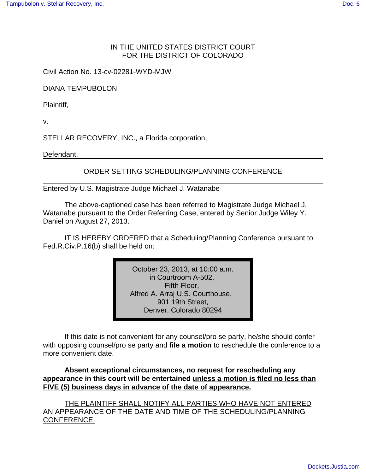## IN THE UNITED STATES DISTRICT COURT FOR THE DISTRICT OF COLORADO

Civil Action No. 13-cv-02281-WYD-MJW

DIANA TEMPUBOLON

Plaintiff,

v.

STELLAR RECOVERY, INC., a Florida corporation,

Defendant.

ORDER SETTING SCHEDULING/PLANNING CONFERENCE

Entered by U.S. Magistrate Judge Michael J. Watanabe

The above-captioned case has been referred to Magistrate Judge Michael J. Watanabe pursuant to the Order Referring Case, entered by Senior Judge Wiley Y. Daniel on August 27, 2013.

IT IS HEREBY ORDERED that a Scheduling/Planning Conference pursuant to Fed.R.Civ.P.16(b) shall be held on:

> October 23, 2013, at 10:00 a.m. in Courtroom A-502, Fifth Floor, Alfred A. Arraj U.S. Courthouse, 901 19th Street, Denver, Colorado 80294

If this date is not convenient for any counsel/pro se party, he/she should confer with opposing counsel/pro se party and **file a motion** to reschedule the conference to a more convenient date.

**Absent exceptional circumstances, no request for rescheduling any appearance in this court will be entertained unless a motion is filed no less than FIVE (5) business days in advance of the date of appearance.**

THE PLAINTIFF SHALL NOTIFY ALL PARTIES WHO HAVE NOT ENTERED AN APPEARANCE OF THE DATE AND TIME OF THE SCHEDULING/PLANNING CONFERENCE.